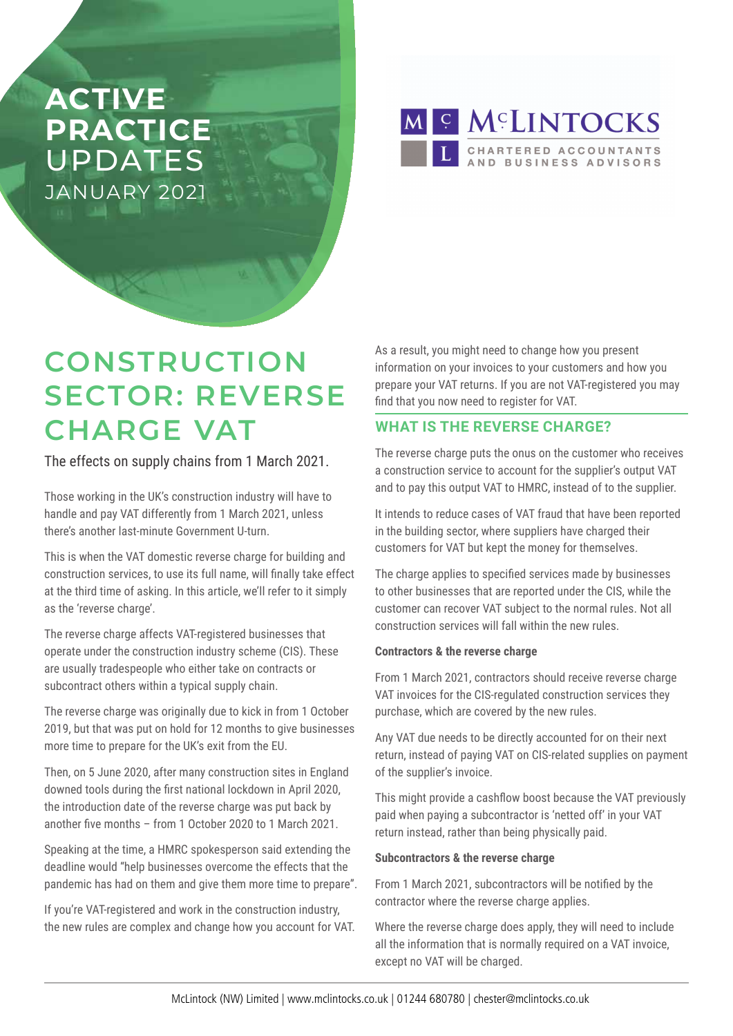# **ACTIVE PRACTICE**  UPDATES JANUARY 2021

M S MCLINTOCKS CHARTERED ACCOUNTANTS<br>AND BUSINESS ADVISORS

# **CONSTRUCTION SECTOR: REVERSE CHARGE VAT**

The effects on supply chains from 1 March 2021.

Those working in the UK's construction industry will have to handle and pay VAT differently from 1 March 2021, unless there's another last-minute Government U-turn.

This is when the VAT domestic reverse charge for building and construction services, to use its full name, will finally take effect at the third time of asking. In this article, we'll refer to it simply as the 'reverse charge'.

The reverse charge affects VAT-registered businesses that operate under the construction industry scheme (CIS). These are usually tradespeople who either take on contracts or subcontract others within a typical supply chain.

The reverse charge was originally due to kick in from 1 October 2019, but that was put on hold for 12 months to give businesses more time to prepare for the UK's exit from the EU.

Then, on 5 June 2020, after many construction sites in England downed tools during the first national lockdown in April 2020, the introduction date of the reverse charge was put back by another five months – from 1 October 2020 to 1 March 2021.

Speaking at the time, a HMRC spokesperson said extending the deadline would "help businesses overcome the effects that the pandemic has had on them and give them more time to prepare".

If you're VAT-registered and work in the construction industry, the new rules are complex and change how you account for VAT. As a result, you might need to change how you present information on your invoices to your customers and how you prepare your VAT returns. If you are not VAT-registered you may find that you now need to register for VAT.

## **WHAT IS THE REVERSE CHARGE?**

The reverse charge puts the onus on the customer who receives a construction service to account for the supplier's output VAT and to pay this output VAT to HMRC, instead of to the supplier.

It intends to reduce cases of VAT fraud that have been reported in the building sector, where suppliers have charged their customers for VAT but kept the money for themselves.

The charge applies to specified services made by businesses to other businesses that are reported under the CIS, while the customer can recover VAT subject to the normal rules. Not all construction services will fall within the new rules.

### **Contractors & the reverse charge**

From 1 March 2021, contractors should receive reverse charge VAT invoices for the CIS-regulated construction services they purchase, which are covered by the new rules.

Any VAT due needs to be directly accounted for on their next return, instead of paying VAT on CIS-related supplies on payment of the supplier's invoice.

This might provide a cashflow boost because the VAT previously paid when paying a subcontractor is 'netted off' in your VAT return instead, rather than being physically paid.

### **Subcontractors & the reverse charge**

From 1 March 2021, subcontractors will be notified by the contractor where the reverse charge applies.

Where the reverse charge does apply, they will need to include all the information that is normally required on a VAT invoice, except no VAT will be charged.